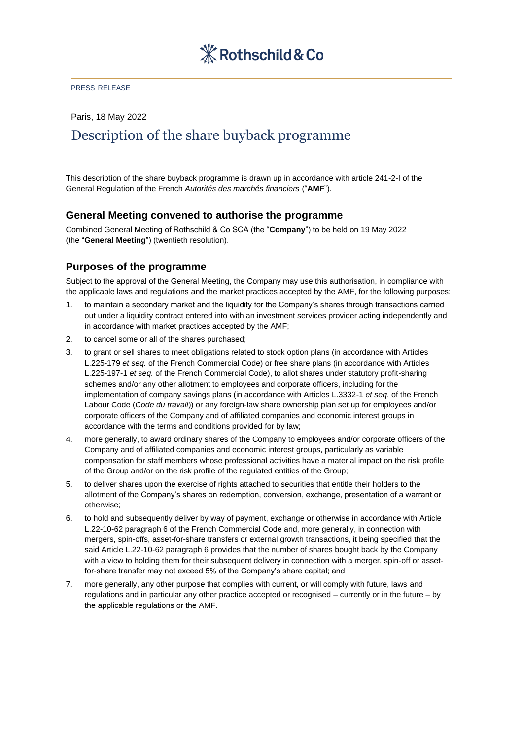

### PRESS RELEASE

Paris, 18 May 2022

# Description of the share buyback programme

This description of the share buyback programme is drawn up in accordance with article 241-2-I of the General Regulation of the French *Autorités des marchés financiers* ("**AMF**").

### **General Meeting convened to authorise the programme**

Combined General Meeting of Rothschild & Co SCA (the "**Company**") to be held on 19 May 2022 (the "**General Meeting**") (twentieth resolution).

### **Purposes of the programme**

Subject to the approval of the General Meeting, the Company may use this authorisation, in compliance with the applicable laws and regulations and the market practices accepted by the AMF, for the following purposes:

- 1. to maintain a secondary market and the liquidity for the Company's shares through transactions carried out under a liquidity contract entered into with an investment services provider acting independently and in accordance with market practices accepted by the AMF;
- 2. to cancel some or all of the shares purchased;
- 3. to grant or sell shares to meet obligations related to stock option plans (in accordance with Articles L.225-179 *et seq.* of the French Commercial Code) or free share plans (in accordance with Articles L.225-197-1 *et seq.* of the French Commercial Code), to allot shares under statutory profit-sharing schemes and/or any other allotment to employees and corporate officers, including for the implementation of company savings plans (in accordance with Articles L.3332-1 *et seq*. of the French Labour Code (*Code du travail*)) or any foreign-law share ownership plan set up for employees and/or corporate officers of the Company and of affiliated companies and economic interest groups in accordance with the terms and conditions provided for by law;
- 4. more generally, to award ordinary shares of the Company to employees and/or corporate officers of the Company and of affiliated companies and economic interest groups, particularly as variable compensation for staff members whose professional activities have a material impact on the risk profile of the Group and/or on the risk profile of the regulated entities of the Group;
- 5. to deliver shares upon the exercise of rights attached to securities that entitle their holders to the allotment of the Company's shares on redemption, conversion, exchange, presentation of a warrant or otherwise;
- 6. to hold and subsequently deliver by way of payment, exchange or otherwise in accordance with Article L.22-10-62 paragraph 6 of the French Commercial Code and, more generally, in connection with mergers, spin-offs, asset-for-share transfers or external growth transactions, it being specified that the said Article L.22-10-62 paragraph 6 provides that the number of shares bought back by the Company with a view to holding them for their subsequent delivery in connection with a merger, spin-off or assetfor-share transfer may not exceed 5% of the Company's share capital; and
- 7. more generally, any other purpose that complies with current, or will comply with future, laws and regulations and in particular any other practice accepted or recognised – currently or in the future – by the applicable regulations or the AMF.